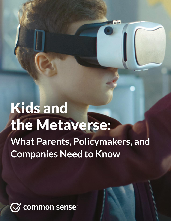# **Kids and** the Metaverse: **What Parents, Policymakers, and Companies Need to Know**

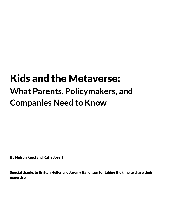# Kids and the Metaverse: **What Parents, Policymakers, and Companies Need to Know**

By Nelson Reed and Katie Joseff

Special thanks to Brittan Heller and Jeremy Bailenson for taking the time to share their expertise.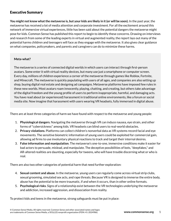## Executive Summary

You might not know what the metaverse is, but your kids are likely in it (or will be soon). In the past year, the metaverse has received a lot of media attention and corporate investment. For all the excitement around this network of immersive virtual experiences, little has been said about the potential dangers the metaverse might pose for kids. Common Sense has published this report to begin to identify these concerns. Drawing on interviews and research from some of the leading experts in virtual and augmented reality, the report lays out many of the potential harms children and teenagers will face as they engage with the metaverse. It also gives clear guidance on what companies, policymakers, and parents and caregivers can do to minimize these harms.

#### **Meta-what?**

The metaverse is a series of connected digital worlds in which users can interact through first-person avatars. Some enter it with virtual reality devices, but many use just a smartphone or computer screen. Every day, millions of children experience a corner of the metaverse through games like Roblox, Fortnite, and Minecraft. The metaverse is quickly populating with users of all ages, and companies are also setting up shop, buying digital real estate and designing ad campaigns. Metaverse platforms have imposed few rules in these new worlds. Most avatars roam innocently, playing, chatting, and creating, but others take advantage of the digital freedom and the young profile of users to perform inappropriate, harmful, and damaging acts. You have read about (or experienced) harassment in traditional online environments, like a forum or social media site. Now imagine that harassment with users wearing VR headsets, fully immersed in digital abuse.

There are at least three categories of harm we have found with respect to the metaverse and young people:

- 1. **Physiological dangers**. Navigating the metaverse through VR can induce nausea, eye strain, and other forms of"cybersickness" among kids. VR headsets can blind users to real-world obstacles.
- 2. **Privacy violations**. Platforms can collect children's nonverbal data as VR systems record facial and eye movements. The sensitive biometric information of young users could be exploited for commercial gain, allowing ad firms to use involuntary physical reactions to track and target their internal desires.
- 3. **False information and manipulation**. The metaverse's one-to-one, immersive conditions make it easier for bad actors to persuade, mislead, and manipulate. The deceptive possibilities of bots,"deepfakes," and AR-altered realities are daunting, especially for tweens, who will have trouble discerning what or who is real.

There are also two other categories of potential harm that need further exploration:

- 4. **Sexual content and abuse**. In the metaverse, young users can regularly come across virtual strip clubs, sexual grooming, simulated sex acts, and rape threats. Because VR is designed to immerse the entire body, abuse has the potential to be more traumatic, if and when it occurs, than in other online formats.
- 5. **Psychological risks**. Signs of a relationship exist between the VR technologies underlying the metaverse and addiction, increased aggression, and dissociation from reality.

To protect kids and teens in the metaverse, strong safeguards must be put in place: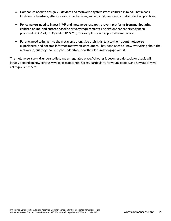- **Companies need to design VR devices and metaverse systems with children in mind**. That means kid-friendly headsets, effective safety mechanisms, and minimal, user-centric data collection practices.
- **Policymakers need to investin VR and metaverse research, prevent platforms from manipulating children online, and enforce baseline privacy requirements**. Legislation that has already been proposed—CAMRA, KIDS, and COPPA 2.0, for example—could apply to the metaverse.
- **Parents need to jump into the metaverse alongside their kids,talk to them about metaverse experiences, and become informed metaverse consumers**. They don't need to know everything about the metaverse, but they should try to understand how their kids may engage with it.

The metaverse is a wild, understudied, and unregulated place. Whether it becomes a dystopia or utopia will largely depend on how seriously we take its potential harms, particularly for young people, and how quickly we act to prevent them.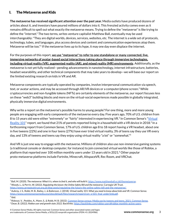# I. The Metaverse and Kids

**The metaverse has received significant attention over the past year.** Media outlets have produced dozens of articles about it, and investors have poured millions of dollars into it. This frenzied activity comes even as it remains difficult to spell out what exactly the metaverse means. Trying to define the "metaverse"is like trying to define the "internet." The two terms, writes venture capitalist Matthew Ball, eventually may be used interchangeably:"They are digital worlds, devices, services, websites, etc. The internet is a wide set of protocols, technology, tubes, and languages, plus access devices and content and communication experiences atop them. Metaverse will be too."<sup>1</sup> If the metaverse lives up to its hype, it may one day even displace the internet.

For the purposes of this report, **we use "metaverse" to refer to one standalone or many connected, live, immersive networks of avatar-based social interactions taking place through immersive technologies, including virtual reality (VR), augmented reality (AR), and mixed reality (MR) environments**. Additionally, as the metaverse is not yet fully realized—pending advancements in nanotechnology, internet infrastructure, batteries, headset wearability, and other technical components that may take years to develop—we will base our report on the limited existing research on kids in VR and AR.

Metaverse components are typically operated by companies, involve interpersonal communication via speech, text, or avatar actions, and may be accessed through AR/VR devices or a computer/phone screen. $^2$  While cryptocurrencies and non-fungible tokens (NFTs) are certainly elements of the metaverse, our report focuses less on these "web3" building blocks and more on the virtual-social experiences made possible in globally integrated, physically immersive digital environments.

Why write a report on the metaverse's possible harms to young people? For one thing, more and more young people are engaging with early components of the metaverse every day. Five years ago, 70% of U.S. children from 8 to 15 years old were either "extremely" or "fairly" interested in experiencing VR.<sup>3</sup> In Common Sense's "<u>[Virtual](https://www.commonsensemedia.org/sites/default/files/research/report/csm_vr101_final_under5mb.pdf)</u> [Reality](https://www.commonsensemedia.org/sites/default/files/research/report/csm_vr101_final_under5mb.pdf) 101" report, we found that 21% of parents reported living in a household with a VR device in 2018.<sup>4</sup> In a forthcoming report from Common Sense, 17% of U.S. children age 8 to 18 report having a VR headset, about one in five tweens (22%) and one in four teens (27%) have ever tried virtual reality, 3% of teens say they use VR every day, and 13% of tweens and teens say they enjoy using virtual reality "a lot" or "somewhat." 5

And VR is just one way to engage with the metaverse. Millions of children also use non-immersive gaming systems (a traditional console or desktop computer, for instance) to join connected virtual worlds like those of Roblox, a platform that reported over 100 million monthly users under 13 years old in 2021. <sup>6</sup> Other popular proto-metaverse platforms include Fortnite, Minecraft, AltspaceVR, Rec Room, and VRChat.

<sup>2</sup> Woods, L., & Perrin, W. (2022). *Regulating the future: the Online Safety Bill and the metaverse*. Carnegie UK Trust. <sup>1</sup> Ball, M. (2020). The metaverse: What it is, where to find it, and who will build it. <https://www.matthewball.vc/all/themetaverse>.

[https://www.carnegieuktrust.org.uk/blog-posts/regulating-the-future-the-online-safety-bill-and-the-metaverse/.](https://www.carnegieuktrust.org.uk/blog-posts/regulating-the-future-the-online-safety-bill-and-the-metaverse/)

<sup>&</sup>lt;sup>3</sup> Aubrey, J. S., Robb, M. B., Bailey, J., & Bailenson, J. (2018). Virtual reality 101: What you need to know about kids and VR. Common Sense. [https://www.commonsensemedia.org/sites/default/files/research/report/csm\\_vr101\\_final\\_under5mb.pdf](https://www.commonsensemedia.org/sites/default/files/research/report/csm_vr101_final_under5mb.pdf).

<sup>4</sup> Ibid.

<sup>6</sup> Dean, B. (2022). *Roblox user and growth stats 2022*. Backlinko. [https://backlinko.com/roblox-users#roblox-monthly-active-users.](https://backlinko.com/roblox-users#roblox-monthly-active-users) <sup>5</sup> Rideout, V., Peebles, A., Mann, S., & Robb, M. B. (2022). [Common](http://www.commonsense.org/census-2021) Sense census: Media use by tweens and teens, 2021. Common Sense.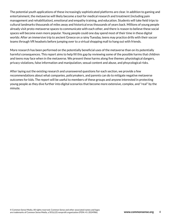The potential youth applications of these increasingly sophisticated platforms are clear. In addition to gaming and entertainment, the metaverse will likely become a tool for medical research and treatment (including pain management and rehabilitation), emotional and empathy training, and education. Students will take field trips to cultural landmarks thousands of miles away and historical eras thousands of years back. Millions of young people already visit proto-metaverse spaces to communicate with each other, and there is reason to believe these social spaces will become even more popular. Young people could one day spend most of their time in these digital worlds: After an immersive trip to ancient Greece on a rainy Tuesday, teens may practice drills with their soccer teams through VR headsets before jumping over to a virtual shopping mall to hang out with friends.

More research has been performed on the potentially beneficial uses of the metaverse than on its potentially harmful consequences. This report aims to help fill this gap by reviewing some of the possible harms that children and teens may face when in the metaverse. We present these harms along five themes: physiological dangers, privacy violations, false information and manipulation, sexual content and abuse, and phsycological risks.

After laying out the existing research and unanswered questions for each section, we provide a few recommendations about what companies, policymakers, and parents can do to mitigate negative metaverse outcomes for kids. The report will be useful to members of these groups and anyone interested in protecting young people as they dive further into digital scenarios that become more extensive, complex, and "real" by the minute.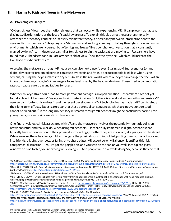# II. Harms to Kids and Teens in the Metaverse

#### **A. Physiological Dangers**

"Cybersickness" describes the motion sickness that can occur while experiencing VR.<sup>7</sup> It can present as nausea, dizziness, disorientation, or the loss of spatial awareness. To explain this side effect, researchers typically reference the "sensory conflict" or "sensory mismatch" theory, a discrepancy between information sent to the eyes and to the inner ears.<sup>8</sup> Strapping on a VR headset and walking, climbing, or falling through certain immersive environments, which are hyperreal but often lag and freeze "like a cellphone conversation that is constantly marred by delay,"<sup>9</sup> can induce nausea similar to sickness felt in the back seat of a moving car. Researchers have found that VR headsets can simulate a wider "field of view"(how far the eyes see), which could increase the likelihood of cybersickness.<sup>10</sup>

Accessing the metaverse through VR headsets can also hurt a user's eyes. Staring at virtual scenarios (or any digital devices) for prolonged periods can cause eye strain and fatigue because people blink less when using screens, causing their eye surfaces to dry out. Unlike in the real world, where our eyes can change the focus of an image by changing shape, in VR, an image's focus level is set by the headset designer. These fixed accommodation rates can cause eye strain and fatigue for users.

Whether this eye strain could lead to more permanent damage is an open question. Researchers have not yet found a clear link between VR usage and vision deterioration. Still, there is anecdotal evidence that extensive VR use can contribute to vision loss, $^{\rm 11}$  and the recent development of VR technologies has made it difficult to study their long-term effects. Experts are clear that these potential consequences, which are not yet understood, cannot be ruled out.<sup>12</sup> In the long run, sensory mismatch through VR headsets might be particularly harmful for young users, whose brains are still in development.

One final physiological risk associated with VR and the metaverse involves the potentially traumatic collision between virtual and real worlds. When using VR headsets, users are fully immersed in digital scenarios that typically have no connection to their physical surroundings, whether they are in a room, at a park, or on the street. While wearing these headsets, children navigate the physical world blindfolded, putting them at risk of knocking into friends, tripping over pets, or falling onto sharp edges. VR expert Jeremy Bailenson identifies this risk category as "distraction":"You've got the goggles on, and you step on the cat, or you walk into a plate-glass window, or, God forbid, you're driving while doing VR. And people will drive while doing VR, because they do that

<sup>12</sup> McKie, R. (2017). *Virtual reality headsets could put children's health at risk*. The Guardian.

<https://www.theguardian.com/technology/2017/oct/28/virtual-reality-headset-children-cognitive-problems>; Mon-Williams, M. (2017). *Is virtual reality bad for our health? The risks and opportunities of a technology revolution*. University of Leeds, via Medium.

<sup>7</sup> U.K. Department for Business, Energy & Industrial Strategy. (2020). *The safety of domestic virtual reality systems: A literature review*. [https://assets.publishing.service.gov.uk/government/uploads/system/uploads/attachment\\_data/file/923616/safety-domestic-vr-systems.pdf](https://assets.publishing.service.gov.uk/government/uploads/system/uploads/attachment_data/file/923616/safety-domestic-vr-systems.pdf).

<sup>8</sup> Barrett, J. (2004). *Side effects of virtual environments: A review of the literature*. No. DSTO-TR-1419. Defence Science and Technology Organisation Canberra (Australia). <https://apps.dtic.mil/sti/citations/ADA426109>.

 $10$  So, R. H. Y., & Lo, W. T. Cyber sickness with virtual reality training applications: a claustrophobia phenomenon with head-mounted displays. *Proceedings of the first world congress on ergonomicsfor global quality and productivity* (1998): 209–212. <sup>9</sup> Bailenson, J. (2018). Experience on demand: What virtual reality is, how it works, and what it can do. W.W. Norton & Company, Inc., 68.

<sup>11</sup> (2020). *Developer warns VR headset damaged eyesight*. BBC News. <https://www.bbc.com/news/technology-52992675>; Heller, B. (2020). *Reimagining reality: Human rights and immersive technology*. Carr Center for Human Rights Policy, Harvard Kennedy School, Spring 2020(8). [https://carrcenter.hks.harvard.edu/files/cchr/files/ccdp\\_2020-008\\_brittanheller.pdf](https://carrcenter.hks.harvard.edu/files/cchr/files/ccdp_2020-008_brittanheller.pdf), 19.

[https://medium.com/university-of-leeds/is-virtual-reality-bad-for-our-health-the-risks-andopportunities-of-a-technology-revolution-31520e508](https://medium.com/university-of-leeds/is-virtual-reality-bad-for-our-health-the-risks-andopportunities-of-a-technology-revolution-31520e50820a) [20a](https://medium.com/university-of-leeds/is-virtual-reality-bad-for-our-health-the-risks-andopportunities-of-a-technology-revolution-31520e50820a).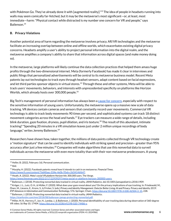with Pokémon Go. They've already done it with [augmented reality]." <sup>13</sup> The idea of people in headsets running into walls may seem comically far-fetched, but it may be the metaverse's most significant—or, at least, most immediate—harm:"Physical contact while distracted is my number one concern for VR and people," says Bailenson. 14

#### **B. Privacy Violations**

Another potential area of harm regarding the metaverse involves privacy. AR/VR technologies and the metaverse facilitate an increasing overlap between online and offline worlds, which exacerbates existing digital privacy concerns. Headsets amplify a user's ability to project personal information into the digital realm, and the metaverse amplifies a company's ability to share that information across digital spaces (and make money doing so).

In the metaverse, large platforms will likely continue the data collection practices that helped them amass huge profits through the two-dimensional internet. Meta (formerly Facebook) has made it clear in interviews and public filings that personalized advertisements will be central to its metaverse business model. Recent Meta patents lay out technologies to track eyes through headset sensors, adapt content based on facial expressions, and let third parties sponsor objects in virtual stores.<sup>15</sup> Through these and other systems, Meta will be able to track users' movements, behaviors, and interests with unprecedented specificity on platforms like Horizon Worlds, which already hosts over 300,000 people. 16

Big Tech's management of personal information has always been a cause for [concern](https://www.commonsensemedia.org/sites/default/files/featured-content/files/csm_privacymatters_protecting_digital_privacy_1.pdf), especially with respect to the sensitive information of young users. Unfortunately, the metaverse opens up a massive new scale of data tracking. VR devices contain cameras and sensors that constantly record user movements. Commercial VR technology is able to track body movements 90 times per second, and sophisticated systems can track 18 distinct movement categories across the head and hands. $^{17}$  Eye trackers can measure a wide range of details, including blink duration, gaze fixation, dryness, pupil dilation, and iris texture. <sup>18</sup> The result of this abundant, intimate tracking?"Spending 20 minutes in a VR simulation leaves just under 2 million unique recordings of body language," writes Jeremy Bailenson. 19

Researchers have shown how, taken together, the millions of data points collected through VR technology create a "motion signature" that can be used to identify individuals with striking speed and precision—greater than 95% accuracy after just a few minutes.<sup>20</sup> Companies will make algorithms that use this nonverbal data to surveil individuals across the metaverse with even more totality than with their non-metaverse predecessors. A young

<https://stanfordvr.com/mm/2018/08/bailenson-jamap-protecting-nonverbal.pdf>.

<sup>13</sup> Heller, B. (2022, February 16). Personal communication.

 $14$  Ibid.

<sup>15</sup> Murphy, H. (2022). Facebook patents reveal how it intends to cash in on metaverse. *Financial Times*. [https://www.ft.com/content/76d40aac-034e-4e0b-95eb-c5d34146f647.](https://www.ft.com/content/76d40aac-034e-4e0b-95eb-c5d34146f647)

<sup>16</sup> Heath, A. (2022). *Meta'ssocial VR platform Horizon hits 300,000 users*. The Verge. <https://www.theverge.com/2022/2/17/22939297/meta-social-vr-platform-horizon-300000-users>.

<sup>17</sup> Bailenson, J. (2018). Protecting nonverbal data tracked in virtual reality. *JAMA Pediatrics*. doi:10.1001/jamapediatrics.2018.1909.

<sup>19</sup> Bailenson, J. (2018). Protecting nonverbal data tracked in virtual reality. *JAMA Pediatrics*. <sup>18</sup> Kröger, J. L., Lutz, O. H., & Müller, F. (2020). What does your gaze reveal about you? On the privacy implications of eye tracking. In: Friedewald, M., Önen, M., Lievens, E., Krenn, S., & Fricker, S. (eds.) Privacy and Identity Management. Data for Better Living: AI and Privacy. Privacy and Identity 2019. *IFIP Advancesin Information and Communication Technology*, 576. Springer, Cham. [https://doi.org/10.1007/978-3-030-42504-3\\_15,](https://doi.org/10.1007/978-3-030-42504-3_15) 228.

 $^{20}$  Miller, M. R., Herrera, F., Jun, H., Landay, J., & Bailenson, J. (2020). Personal identifiability of user tracking data during observation of 360-degree VR video. *Sci Rep* 10, 17404. [https://doi.org/10.1038/s41598-020-74486-y.](https://doi.org/10.1038/s41598-020-74486-y)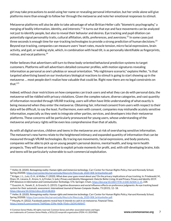girl may take precautions to avoid using her name or revealing personal information, but her smile alone will give platforms more than enough to follow her through the metaverse and note her emotional responses to stimuli.

Metaverse platforms will also be able to take advantage of what Brittan Heller calls "biometric psychography," a merging of bodily information, identity, and interests. $^{21}$  It turns out that eye and face movements can be analyzed not just to identify people, but also to reveal their behavior and desires. Eye tracking and pupil dilation can potentially signal personality traits, cultural affiliation, skills, preferences, and aversions.<sup>22</sup> In some cases just three seconds is enough time for eye-tracking technologies to provide a strong prediction of human decisions. $^{23}$ Beyond eye tracking, companies can measure users' heart rates, muscle tension, micro facial expressions, brain activity, and gait, or walking style, which, in combination with head tilt, is as personally identifiable as fingerprints, retinas, and vocal patterns. 24

Heller believes that advertisers will turn to these body-oriented behavioral prediction systems to target customers. Platforms will sell advertisers detailed consumer profiles, with motion signatures revealing information as personal as one's phobias or sexual orientation."My nightmare scenario," explains Heller,"is that targeted advertising based on our involuntary biological reactions to stimuli is going to start showing up in the metaverse … most people don't realize how valuable that could be. Right now there are no legal constraints on that." 25

Indeed, without clear restrictions on how companies can track users and what they can do with personal data, the metaverse will be riddled with privacy violations. Given the complex nature, diverse categories, and vast quantity of information recorded through VR/AR tracking, users will often have little understanding of what exactly is being measured when they enter the metaverse. Obtaining fair, informed consent from users with respect to their data will be difficult, to say the least. Furthermore, even with consent, companies may mishandle acutely sensitive information, especially as they seek to integrate other parties, services, and developers into their metaverse platforms. These concerns will be particularly pronounced for young users, whose understanding of the metaverse and privacy rights will be even less comprehensive than that of adults.

As with all digital services, children and teens in the metaverse are at risk of oversharing sensitive information. The metaverse's new harms relate to the heightened intimacy and expanded quantity of information that can be measured through VR/AR technologies. By tracing eye movements, facial expressions, and body postures, companies will be able to pick up on young people's personal desires, mental health, and long-term health prospects. They will have an incentive to exploit private moments for profit, and, with still-developing brains, kids and teens will be particularly vulnerable to such commercial exploitation.

<sup>24</sup> Heller, B. (2020). *Reimagining reality: Human rights and immersive technology*. Carr Center for Human Rights Policy, Harvard Kennedy School, Spring 2020(8). [https://carrcenter.hks.harvard.edu/files/cchr/files/ccdp\\_2020-008\\_brittanheller.pdf](https://carrcenter.hks.harvard.edu/files/cchr/files/ccdp_2020-008_brittanheller.pdf).

<sup>21</sup> Heller, B. (2020). *Reimagining reality: Human rights and immersive technology*. Carr Center for Human Rights Policy, Harvard Kennedy School, Spring 2020(8). [https://carrcenter.hks.harvard.edu/files/cchr/files/ccdp\\_2020-008\\_brittanheller.pdf](https://carrcenter.hks.harvard.edu/files/cchr/files/ccdp_2020-008_brittanheller.pdf).

 $^{22}$  Kröger, J. L., Lutz, O. H., & Müller, F. (2020). What does your gaze reveal about you? On the privacy implications of eye tracking. In: Friedewald, M., Önen, M., Lievens, E., Krenn, S., & Fricker, S. (eds.) Privacy and Identity Management. Data for Better Living: AI and Privacy. Privacy and Identity 2019. *IFIP Advancesin Information and Communication Technology*, 576. Springer, Cham. [https://doi.org/10.1007/978-3-030-42504-3\\_15,](https://doi.org/10.1007/978-3-030-42504-3_15) 228.

<sup>&</sup>lt;sup>23</sup> Guazzini, A., Yoneki, E., & Gronchi, G. (2015). Cognitive dissonance and social influence effects on preference judgments: An eye tracking based system for their automatic assessment. *International Journal of Human-Computer Studies*, 73 (2015), 12–18. [https://doi.org/10.1016/j.ijhcs.2014.08.003.](https://doi.org/10.1016/j.ijhcs.2014.08.003)

<sup>25</sup> Murphy, H. (2022). Facebook patents reveal how it intends to cash in on metaverse. *Financial Times*. [https://www.ft.com/content/76d40aac-034e-4e0b-95eb-c5d34146f647.](https://www.ft.com/content/76d40aac-034e-4e0b-95eb-c5d34146f647)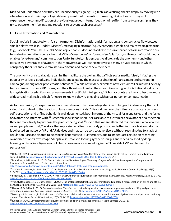Kids do not understand how they are unconsciously "signing" Big Tech's advertising checks simply by moving with a headset on, and their psychological development (not to mention human dignity) will suffer: They will experience the commodification of previously guarded, internal ideas, or will suffer from self-censorship as they try to obscure their feelings and reactions to prevent such processes. 26

#### **C. False Information and Manipulation**

Social media is inundated with false information. Disinformation, misinformation, and conspiracies flow between smaller platforms (e.g., Reddit, Discord), messaging platforms (e.g., WhatsApp, Signal), and mainstream platforms (e.g., Facebook, YouTube, TikTok). Some argue that VR does not facilitate the viral spread of false information due to its design limitations on reach—that VR is a "one-to-one" or "one-to-few" platform, while much of social media enables "one-to-many" communication. Unfortunately, this perspective disregards the anonymity and other persuasive advantages of avatars in the metaverse, as well as the metaverse's many private spaces in which conspiracy theorists and extremists can convene and convert new members.

The anonymity of virtual avatars can further facilitate the trolling that afflicts social media, falsely inflating the popularity of ideas, goods, and individuals, and allowing the mass coordination of harassment and censorship campaigns, among other problematic behaviors.<sup>27</sup> While not widely prevalent now, virtual troll armies will be easy to coordinate in private VR rooms, and their threats will feel all the more intimidating in 3D. Additionally, due to lax registration credentials and advancements in artificial intelligence, VR bot accounts are likely to become more widespread, making it difficult for users to know if they're engaging with a real person or computer code.

As for persuasion, VR experiences have been shown to be more integrated in autobiographical memory than 2D video $^{28}$  and to lead to the creation of false memories in kids. $^{29}$  Beyond memory, the influence of avatars on users' self-perception and offline behavior is well documented, both in terms of the virtual form one takes and the forms of avatars one interacts with.<sup>30</sup> Research shows that when users are able to customize the avatar of a salesperson, they are more likely to purchase the product being sold.<sup>31</sup> Given that we are attracted to individuals who look like us and people we trust,<sup>32</sup> avatars that replicate facial features, body posture, and other intimate traits—data that is collected en masse by VR and AR devices and that can be sold to advertisers without restraint due to a lack of regulation—are anticipated to be especially persuasive. Furthermore, due to inadequate regulation regarding ownership of one's own image,"deepfakes"—realistic-looking synthetic images and videos created by deep learning artificial intelligence—could become even more compelling in the 3D world of VR and be used for persuasion. 33

<sup>26</sup> Heller, B. (2020). *Reimagining reality: Human rights and immersive technology*. Carr Center for Human Rights Policy, Harvard Kennedy School, Spring 2020(8). [https://carrcenter.hks.harvard.edu/files/cchr/files/ccdp\\_2020-008\\_brittanheller.pdf](https://carrcenter.hks.harvard.edu/files/cchr/files/ccdp_2020-008_brittanheller.pdf), 19.

<sup>&</sup>lt;sup>27</sup> Bradshaw, S., & Howard, P. (2017). Troops, trolls, and troublemakers: A global inventory of organized social media manipulation. Computational Propaganda Research Project. Oxford Internet Institute.

[http://governance40.com/wp-content/uploads/2018/11/Troops-Trolls-and-Troublemakers.pdf.](http://governance40.com/wp-content/uploads/2018/11/Troops-Trolls-and-Troublemakers.pdf)

<sup>28</sup> Schöne, B., Wessels, M., & Gruber, T. (2019). Experiences in virtual reality: A window to autobiographical memory. *Current Psychology*, 38(3), 715–719. [https://link.springer.com/article/10.1007/s12144-017-9648-y.](https://link.springer.com/article/10.1007/s12144-017-9648-y)

<sup>29</sup> Segovia, K. Y., & Bailenson, J. N. (2009). Virtually true: Children's acquisition of false memories in virtual reality. *Media Psychology*, 12(4), 371–393. <https://stanfordvr.com/mm/2009/segovia-virtually-true.pdf>.

<sup>30</sup> Yee, N., Bailenson, J. N., & Ducheneaut, N. (2009). The proteus effect: Implications of transformed digital self-representation on online and offline behavior. *Communication Research*, 36(2), 285–312. <https://doi.org/10.1177%2F0093650208330254>.

 $31$  Hanus, M. D., & Fox, J. (2015). Persuasive avatars: The effects of customizing a virtual salesperson's appearance on brand liking and purchase intentions. *International Journal of Human-Computer Studies*, 84, 33–40. <https://doi.org/10.1016/j.ijhcs.2015.07.004>.

 $32$  Montoya, R. M., Horton, R. S., & Kirchner, J. (2008). Is actual similarity necessary for attraction? A meta-analysis of actual and perceived similarity. *Journal of Social and Personal Relationships*, *25*(6), 889–922. <https://doi.org/10.1177/0265407508096700>.

<sup>33</sup> Kalpokas, I. (2021). Problematising reality: the promises and perils of synthetic media. *SN Social Sciences*, *1*(1), 1–11. [https://doi.org/10.1007/s43545-020-00010-8.](https://doi.org/10.1007/s43545-020-00010-8)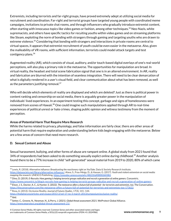Extremists, including terrorists and far-right groups, have proved extremely adept at utilizing social media for recruitment and coordination. Far-right and terrorist groups have targeted young people with coordinated meme campaigns, invitations to private chat rooms, and through influencers who gradually introduce extremist content, often starting with innocuous topics like video games or fashion, among other techniques.<sup>34</sup> Neo-Nazis, white supremacists, and others have specific tactics for recuiting youths within video games and on streaming platforms like Steam, exploiting the norm of bonding with strangers through gaming and targeting youths who are drawn to extreme violence.<sup>35</sup> Considering that bonding with strangers and interactions in private rooms are central to virtual spaces, it appears that extremist recruitment of youth could be even easier in the metaverse. Also, given the malleability of VR rooms, with sufficient information, terrorists could model attack targets and test contigency plans. 36

Augmented reality (AR), which consists of visual, auditory, and/or touch-based digital overlays of one's real-world perceptions, will also play a primary role in the metaverse. The opportunities for manipulation are broad. In virtual reality, the headset and total scene fabrication signal that one is in an altered environment. In AR, reality and fabrication are blurred with the intention of seamless integration. There will need to be clear demarcation of what is digitally rendered in a user's visual field, and clear communication about what has been removed, as well as the parameters justifying removal. $^{37}$ 

Who will decide which elements of reality are displayed and which are deleted? Just as there is political power in content ranking and censorship on social media, there is arguably greater power in the manipulation of individuals' lived experiences. In an experiment testing this concept, garbage and signs of homelessness were removed from scenes of Hawaii.<sup>38</sup> One could imagine such manipulations applied through AR to real-time experiences of political unrest or hate crimes, shaping public opinion and witness testimony from the moment of perception.

#### **Areas of Potential Harm That Require More Research**

While the harms related to privacy, physiology, and false information are fairly clear, there are other areas of potential harm that require exploration and understanding before kids begin engaging with the metaverse. Below are a few areas of concern that need more research.

#### **D. Sexual Content and Abuse**

Sexual harassment, bullying, and other forms of abuse are rampant online. A global study from 2021 found that 34% of respondents had been asked to do something sexually explict online during childhood. <sup>39</sup> Another analysis found there to be a 77% increase in child "self-generated" sexual material from 2019 to 2020, 80% of which came

<sup>36</sup> Elson, J. S., Doctor, A. C., & Hunter, S. (2022). The metaverse offers a future full of potential–for terrorists and extremists, too. The Conversation. <sup>35</sup> Dino, D. (2019). E-Recruits: How gaming is helping terrorist groups radicalize and recruit a generation of online gamers. Concentric. <https://www.concentric.io/blog/e-recruits-how-gaming-is-helping-terrorist-groups-radicalize-and-recruit-a-generation-of-online-gamers>.

<sup>34</sup> Lewis, R. (2018). *Alternative influence: Broadcasting the reactionary right on YouTube*. Data & Society Research Institute. <https://datasociety.net/library/alternative-influence/>; Alava, S., Frau-Meigs, D., & Hassan, G. (2017). *Youth and violent extremism on social media: mapping the research*. UNESCO Publishing. [https://unesdoc.unesco.org/ark:/48223/pf0000260382.](https://unesdoc.unesco.org/ark:/48223/pf0000260382)

<sup>37</sup> Rosa, A. (2013). Occlusive Reality. *Journal of Futures Studies*, *17*(3), 141–144. <https://theconversation.com/the-metaverse-offers-a-future-full-of-potential-for-terrorists-and-extremists-too-173622>.

<https://jfsdigital.org/articles-and-essays/2013-2/vol-17-no-3-march-2013/symposium/occlusive-reality/>.

 $38$  lbid.

<sup>39</sup> Setter, C., Greene, N., Newman, N., & Perry, J. (2021). *Global threat assessment 2021*. WeProtect Global Alliance. [https://www.weprotect.org/global-threat-assessment-21/.](https://www.weprotect.org/global-threat-assessment-21/)

<sup>©</sup> Common Sense Media. All rights reserved. Common Sense and other associated names and logos are trademarksof CommonSense Media, a 501(c)(3)nonprofitorganization(FEIN: 41-2024986). **www.commonsense.org** 9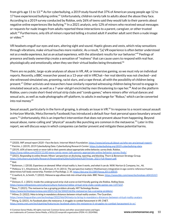from girls age 11 to 13.<sup>40</sup> As for cyberbullying, a 2019 study found that 37% of American young people age 12 to 17 have experienced bullying online.<sup>41</sup> Unfortunately, children rarely talk to adults about the abuse they face. According to a 2019 survey conducted by Roblox, only 26% of teens said they would talk to their parents about negative online experiences like bullying.<sup>42</sup> In a 2021 analysis, only 12% of minors who received sexual messages or requests for nude images from adults reported these interactions to a parent, caregiver, or other trusted adult.<sup>43</sup> Furthermore, only 6% of minors reported telling a trusted adult if another adult sent them a nude image or video. 44

VR headsets engulf our eyes and ears, altering sight and sound. Haptic gloves and vests, which relay sensations through vibrations, make virtual touches more realistic. As a result,"[a] VR experience is often better understood *not as a media experience, but as an actual experience,* with the attendant results for our behavior." <sup>45</sup> Feelings of presence and body ownership create a sensation of"realness"that can cause users to respond with real fear, physiologically and emotionally, when they see their virtual bodies being threatened. 46

There are no public, large-scale analyses of abuse in VR, AR, or immersive gaming, so we must rely on individual reports. Recently, a BBC researcher posed as a 13-year-old in VRChat—her real identity was not checked—and she witnessed simulated sex, grooming, racist slurs, and a rape threat, all with the possibility of children being present.<sup>47</sup> Other activists and researchers have similarly reported witnessing children being forced to engage in simulated sexual acts, as well as a 7-year-old girl encircled by men threatening to rape her. <sup>48</sup> And on the platform Roblox, users create short-lived virtual strip clubs and "condo games," where minors offer virtual dances and sexual acts, as well as nude photographs off-platform, to adults in exchange for "Robux," which can be converted into real money. 49

Sexual assault, particularly in the form of groping, is already an issue in VR. 50 In response to a recent sexual assault in Horizon Worlds, Meta (formerly Facebook) has introduced a default four-foot personal space boundary around users. <sup>51</sup> Unfortunately, this is an imperfect intervention that does not prevent abuse from happening. Beyond sexual abuse, name-calling and "physical" assaults like punching are common in the metaverse. <sup>52</sup> Later in this report, we will discuss ways in which companies can better prevent and mitigate these potential harms.

<sup>41</sup> Patchin, J. (2019). *2019 Cyberbullying Data*. Cyberbullying Research Center. <https://cyberbullying.org/2019-cyberbullying-data>. 40 (2020). *IWF annual report 2020—Face the facts*. Internet Watch Foundation. <https://www.iwf.org.uk/about-us/who-we-are/annual-report/>.

<sup>42</sup> (2019). *60% of teensrarely or never talk to their parents about appropriate online behavior,survey finds*. Roblox. <https://corp.roblox.com/2019/11/60-teens-rarely-never-talk-parents-appropriate-online-behavior-survey-finds/>.

<sup>44</sup> Ibid. 43 (2021). *Responding to online threats: Minors' perspectives on disclosing, reporting, and blocking*. Thorn & Benenson Strategy Group. [https://info.thorn.org/hubfs/Research/Responding%20to%20Online%20Threats\\_2021-Full-Report.pdf](https://info.thorn.org/hubfs/Research/Responding%20to%20Online%20Threats_2021-Full-Report.pdf).

<sup>&</sup>lt;sup>45</sup> Bailenson, J. (2018). Experience on demand: What virtual reality is, how it works, and what it can do. W.W. Norton & Company, Inc., 46.

<sup>46</sup> Petkova, V. I., Khoshnevis, M., & Ehrsson, H. H. (2011). The perspective matters! Multisensory integration in ego-centric reference frames determines full-body ownership. *Frontiersin Psychology*, 2, 35. <https://doi.org/10.3389/fpsyg.2011.00035>.

<sup>48</sup> Ibid. <sup>47</sup> Crawford, A., & Smith, T. (2022). *Metaverse app allows kidsinto virtualstrip clubs*. BBC News. [https://www.bbc.com/news/technology-60415317.](https://www.bbc.com/news/technology-60415317)

<sup>49</sup> Dickson, E. J. (2021). Inside the underground strip-club scene on kid-friendly gaming site Roblox. *Rolling Stone*.

[https://www.rollingstone.com/culture/culture-features/roblox-virtual-strip-clubs-condo-games-sex-1197237](https://www.rollingstone.com/culture/culture-features/roblox-virtual-strip-clubs-condo-games-sex-1197237/).

<sup>50</sup> Basu, T. (2021). The metaverse has a groping problem already. *MIT Technology Review*.

[https://www.technologyreview.com/2021/12/16/1042516/the-metaverse-has-a-groping-problem/.](https://www.technologyreview.com/2021/12/16/1042516/the-metaverse-has-a-groping-problem/)

<sup>51</sup> Milmo, D. (2022). *Meta to bring in mandatory distances between virtual reality avatars*. The Guardian.

<https://www.theguardian.com/technology/2022/feb/04/meta-to-bring-in-mandatory-distances-between-virtual-reality-avatars>.

<sup>52</sup> Wong, Q. (2021). *As Facebook plansthe metaverse, itstrugglesto combat harassment in VR*. CNET.

[https://www.cnet.com/tech/gaming/features/as-facebook-plans-the-metaverse-it-struggles-to-combat-harassment-in-vr/.](https://www.cnet.com/tech/gaming/features/as-facebook-plans-the-metaverse-it-struggles-to-combat-harassment-in-vr/)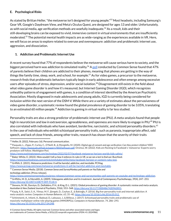#### **E. Psychological Risks**

As stated by Brittan Heller,"the metaverse isn't designed for young people." <sup>53</sup> Most headsets, including Samsung's Gear VR, Google's Daydream View, and Meta's Oculus Quest, are designed for ages 13 and older. Unfortunately, as with social media, age verification methods are woefully inadequate.<sup>54</sup> As a result, kids and their still-developing brains can be exposed to vivid, immersive content in virtual environments that are insufficiently moderated. <sup>55</sup> The potential mental health impacts are as wide-ranging as the experiences available in VR. Here, we will focus on areas to explore related to overuse and overexposure: addiction and problematic internet use, aggression, and dissociation.

#### **1. Addiction and Problematic Internet Use**

A recent survey found that 77% of respondents believe the metaverse will cause serious harm to society, and the biggest perceived harm was addiction to simulated reality.<sup>56</sup> A <u>[poll](https://www.commonsensemedia.org/press-releases/common-sense-and-surveymonkey-poll-parents-on-youtube-and-technology-addiction)</u> conducted by Common Sense found that 47% of parents believe their children are addicted to their phones, meaning that phones are getting in the way of things like family time, sleep, work, and school, for example. <sup>57</sup> As for video games, a precursor to the metaverse, research finds that problematic behaviors typically begin in early adolescence and often emerge among excessive users after episodes of stress, depression, and/or social isolation.<sup>58</sup> Disagreement still exists in the field about what video game disorder is and how it's measured, but Internet Gaming Disorder (IGD), which recognizes unhealthy patterns of engagement with games, is a condition of interest identified by the American Psychiatric Association. Mostly diagnosed in male adolescents and young adults, IGD is currently being considered for inclusion within the next version of the DSM-V. While there are a variety of estimates about the pervasiveness of video game disorder, a systematic review found the global prevalence of gaming disorder to be 3.05%, translating to an estimated 60 million people.<sup>59</sup> Addiction to gaming in virtual reality is far less studied.

Personality traits are also a strong predictor of problematic internet use (PIU). A meta-analysis found that people high in neuroticism and low in extraversion, agreeableness, and openness are more likely to engage in PIU. <sup>60</sup> PIU is also correlated with individuals who have avoidant, borderline, narcissistic, and schizoid personality disorders.<sup>61</sup> In the case of individuals who exhibit schizotypal personality traits, such as paranoia, inappropriate affect, odd speech, and lack of close friends, among other traits, research has shown that the severity of their traits

[https://www.pcmag.com/news/metaverse-predictions-it-will-be-harmful-addictive-and-inevitable.](https://www.pcmag.com/news/metaverse-predictions-it-will-be-harmful-addictive-and-inevitable)

<sup>53</sup> Heller, B. (2022, February 16). Personal communication.

<sup>&</sup>lt;sup>54</sup> Pasquale, L., Zippo, P., Curley, C., O'Neill, B., & Mongiello, M. (2020). Digital age of consent and age verification: Can they protect children? IEEE Software. <https://lpasquale.github.io/papers/IEEESoftware.pdf>; Oremus, W. (2022). Kids are flocking to Facebook's 'metaverse.' Experts worry predators will follow. *Washington Post*.

<https://www.washingtonpost.com/technology/2022/02/07/facebook-metaverse-horizon-worlds-kids-safety/>.

<sup>55</sup> Baker-White, E. (2022). *Meta wouldn't tell us how it enforcesitsrulesin VR,so we ran a test to find out*. Buzzfeed. <https://www.buzzfeednews.com/article/emilybakerwhite/meta-facebook-horizon-vr-content-rules-test>.

<sup>56</sup> Griffith, E. (2021). *Metaverse predictions: It will be harmful, addictive, and inevitable*. PCMag.

<sup>57</sup> Common Sense Media. (2018). *Common Sense and SurveyMonkey poll parents on YouTube and technology addiction*. [Press release].

<sup>58</sup> Griffiths, M. D., & Meredith, A. (2009). Videogame addiction and its treatment. *Journal of Contemporary Psychotherapy*, 39(4), 247–253. [https://doi.org/10.1007/s10879-009-9118-4.](https://doi.org/10.1007/s10879-009-9118-4) <https://www.commonsensemedia.org/press-releases/common-sense-and-surveymonkey-poll-parents-on-youtube-and-technology-addiction>.

<sup>&</sup>lt;sup>59</sup> Stevens, M. W., Dorstyn, D., Delfabbro, P. H., & King, D. L. (2021). Global prevalence of gaming disorder: A systematic review and meta-analysis. *Australian & New Zealand Journal of Psychiatry*, 55(6), 553–568. [https://doi.org/10.1177/0004867420962851.](https://doi.org/10.1177/0004867420962851)

<sup>&</sup>lt;sup>60</sup> Kayiş, A. R., Satici, S. A., Yilmaz, M. F., Şimşek, D., Ceyhan, E., & Bakioğlu, F. (2016). Big five-personality trait and internet addiction: A meta-analytic review. *Computersin Human Behavior*, *63*, 35–40. [https://doi.org/10.1016/j.chb.2016.05.012.](https://doi.org/10.1016/j.chb.2016.05.012)

<sup>61</sup> Schimmenti, A., Infanti, A., Badoud, D., Laloyaux, J., & Billieux, J. (2017). Schizotypal personality traits and problematic use of massively-multiplayer online role-playing games (MMORPGs). *Computersin Human Behavior*, *74*, 286–293. [https://doi.org/10.1016/j.chb.2017.04.048.](https://doi.org/10.1016/j.chb.2017.04.048)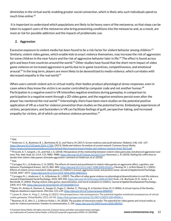diminishes in the virtual world, enabling greater social connection, which is likely why such individuals spend so much time online. 62

It is important to understand which populations are likely to be heavy users of the metaverse, so that steps can be taken to support users of the metaverse who bring preexisting conditions into the metaverse and, as a result, are most at risk for possible addiction and the impacts of problematic use.

### **2. Aggression**

Excessive exposure to violent media has been found to be a risk factor for violent behavior among children.<sup>63</sup> Similarly, violent video games, which enable kids to enact violence themselves, may increase the risk of aggression for some children in the near future and the risk of aggressive behavior later in life. <sup>64</sup> The effect is found across girls and boys from countries around the world.<sup>65</sup> Other studies have found that the short-term impact of video game violence on increased aggression is partly due to in-game incentives, competitiveness, and emotional arousal.<sup>66</sup> In the long term, players are more likely to be desensitized to media violence, which correlates with decreased empathy in the real world. 67

When users commit violent acts in virtual reality, their bodies produce physiological stress responses, even in cases where they know the victim is an avatar controlled by computer code and not another human. $^{68}$ Participation in a negative event in VR intensifies negative emotions during gameplay, in comparison to participation in a negative event through a 2D video game, and the negative emotions persist even after the player has reentered the real world.<sup>69</sup> Interestingly, there have been more studies on the potential positive application of VR as a tool for violence prevention than studies on the potential harms. Embodying experiences of victims, perpetrators, and bystanders in VR can facilitate feelings of guilt, perspective-taking, and increased empathy for victims, all of which can enhance violence prevention. $^{70}$ 

 $62$  lbid.

<sup>63</sup> Anderson, C. A., Bushman, B. J., Bartholow, B. D., and Ybarra, M. (2017). Screen violence and youth behavior. *Pediatrics* 140, 142–147. <https://doi.org/10.1542/peds.2016-1758t>; (2013). *Media and violence: An analysis of current research*. Common Sense Media. [https://www.commonsensemedia.org/sites/default/files/research/report/media-and-violence-research-brief-2013.pdf.](https://www.commonsensemedia.org/sites/default/files/research/report/media-and-violence-research-brief-2013.pdf)

<sup>65</sup> Ibid. 64 Prescott, A. T., Sargent, J. D., and Hull, J. G. (2018). Metaanalysis of the relationship between violent video game play and physical aggression over time. *Proc. Natl. Acad. Sci. U.S.A*. 115, 9882–9888. [https://doi.org/10.1073/pnas.1611617114;](https://doi.org/10.1073/pnas.1611617114) Huesmann, L. R. (2010). Nailing the coffin shut on doubts that violent video games stimulate aggression: comment on Anderson, et al. (2010).

 $66$  Carnagey, N. L., & Anderson, C. A. (2005). The effects of reward and punishment in violent video games on aggressive affect, cognition, and behavior. *Psychological Science*, 16(11), 882–889. <https://doi.org/10.1111/j.1467-9280.2005.01632.x>; Fleming, M. J., & Rick Wood, D. J. (2001). Effects of violent versus nonviolent video games on children's arousal, aggressive mood, and positive mood. *Journal of Applied Social Psychology*, 31(10), 2047–2071. [https://doi.org/10.1111/j.1559-1816.2001.tb00163.x.](https://doi.org/10.1111/j.1559-1816.2001.tb00163.x)

 $^{67}$  Carnagey, N. L., Anderson, C. A., & Bushman, B. J. (2007). The effect of video game violence on physiological desensitization to real-life violence. *Journal of Experimental Social Psychology*, 43(3), 489-496. [https://doi.org/10.1016/j.jesp.2006.05.003;](https://doi.org/10.1016/j.jesp.2006.05.003) Funk, J. B., Buchman, D. D., Jenks, J., & Bechtoldt, H. (2003). Playing violent video games, desensitization, and moral evaluation in children. *Journal of Applied Developmental Psychology*, 24(4), 413–436. [https://doi.org/10.1016/S0193-3973\(03\)00073-X](https://doi.org/10.1016/S0193-3973(03)00073-X).

<sup>&</sup>lt;sup>68</sup> Slater, M., Antley, A., Davison, A., Swapp, D., Guger, C., Barker, C., Pistrang, N., & Sanchez-Vives, M. V. (2006). A virtual reprise of the Stanley Milgram obedience experiments. *PloS One*, 1(1), e39. [https://doi.org/10.1371/journal.pone.0000039.](https://doi.org/10.1371/journal.pone.0000039)

 $^{69}$  Lavoie, R., Main, K., King, C., & King, D. (2021). Virtual experience, real consequences: The potential negative emotional consequences of virtual reality gameplay. *Virtual Reality*, 25(1), 69–81. [https://link.springer.com/article/10.1007/s10055-020-00440-y.](https://link.springer.com/article/10.1007/s10055-020-00440-y)

 $^{70}$  Bowman, N. D., Ahn, S. J., & Mercer Kollar, L. M. (2020). The paradox of interactive media: The potential for video games and virtual reality as tools for violence prevention. *Frontiersin communication*, 5, 104. [https://doi.org/10.3389/fcomm.2020.580965.](https://doi.org/10.3389/fcomm.2020.580965)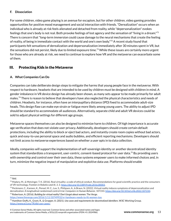#### **F. Dissociation**

For some children, video game playing is an avenue for escapism, but for other children, video gaming provides opportunities for positive mood management and social interaction with friends."Derealization" occurs when an individual who is already at risk feels alienated and detached from reality, while "depersonalization" evokes feelings that one's body is not real. Both provoke feelings of lost agency and the sensation of "living in a dream." $^{\rm 71}$ There is concern that"long-term immersion could cause damage to the neural mechanisms that create the feeling of reality, of being in immediate contact with the world and one's own body."<sup>72</sup> A recent study found that participants felt sensations of derealization and depersonalization immediately after 30 minutes spent in VR, but the sensations did not persist, likely due to limited exposure time. <sup>73</sup> While these issues are certainly more urgent for those who are already at risk, we need to continue to explore how VR and the metaverse can exacerbate some of them.

# III. Protecting Kids in the Metaverse

#### **A. What Companies Can Do**

Companies can take deliberate design steps to mitigate the harms that young people face in the metaverse. With respect to hardware, headsets that are intended to be used by children must be designed with children in mind. A gender imbalance in VR device design has already been shown, as many sets appear to be made primarily for adult males. <sup>74</sup> There is reason to believe that developers have also neglected the physical characteristics and needs of children. Headsets, for instance, often have an interpupillary distance (IPD) fixed to accommodate adult-size heads. This design flaw can make eye strain or fatigue more likely among young users. The ability to adjust IPD should be standard to accommodate all audiences. Alternatively, separate child and adult VR devices could be sold to adjust physical settings for different age groups.

Metaverse spaces themselves can also be designed to minimize harm to children. Of high importance is accurate age verification that does not violate user privacy. Additionally, developers should create certain default protections, including the ability to block or eject bad actors, and instantly create room copies without bad actors, quick and easy-to-use personal space and audio bubbles, and efficient reporting mechanisms. Developers should not limit access to metaverse experiences based on whether a user opts in to data collection.

Ideally, companies will support the implementation of self-sovereign identity or another decentralized identity system that standardizes a transparent, user-centric, consent-based protocol for user data.<sup>75</sup> By providing users with ownership and control over their own data, these systems empower users to make informed choices and, in turn, minimize the negative impact of manipulative and exploitive data use. Platforms should enable

[https://www.theverge.com/2016/1/11/10749932/vr-hardware-needs-to-fit-women-too.](https://www.theverge.com/2016/1/11/10749932/vr-hardware-needs-to-fit-women-too)

 $71$  Ibid.

 $^{72}$  Madary, M., & Metzinger, T. K. (2016). Real virtuality: a code of ethical conduct. Recommendations for good scientific practice and the consumers of VR-technology. *Frontiersin Robotics and AI*, *3*, 3. [https://doi.org/10.3389/frobt.2016.00003.](https://doi.org/10.3389/frobt.2016.00003)

<sup>74</sup> Robertson, A. (2016). *Building for virtual reality? Don't forget about women*. The Verge. <sup>73</sup> Peckmann, C., Kannen, K., Pensel, M. C., Lux, S., Philipsen, A., & Braun, N. (2022). Virtual reality induces symptoms of depersonalization and derealization: A longitudinal randomised control trial. *Computersin Human Behavior*, 107233. <https://doi.org/10.1016/j.chb.2022.107233>.

<sup>75</sup> Hamilton-Duffy, K., Grant, R., & Gropper, A. (2021). *Use cases and requirementsfor decentralized identifiers*. W3C Working Group. [https://www.w3.org/TR/did-use-cases/.](https://www.w3.org/TR/did-use-cases/)

<sup>©</sup> Common Sense Media. All rights reserved. Common Sense and other associated names and logos are trademarksof CommonSense Media, a 501(c)(3)nonprofitorganization(FEIN: 41-2024986). **www.commonsense.org** 13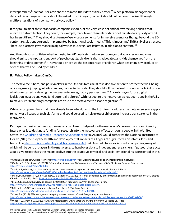interoperability $^{76}$  so that users can choose to move their data as they prefer. $^{77}$  When platform management or data policies change, all users should be asked to opt in again; consent should not be preauthorized through multiple iterations of a company's privacy policy. $^{78}$ 

If they fail to meet these standards, companies should, at the very least, set and follow tracking policies that minimize data collection. They could, for example, track fewer channels of data or eliminate data quickly after it has been utilized.<sup>79</sup> They should set terms-of-service agreements for immersive scenarios that go beyond the 2D content regulations currently implemented by traditional social media."This is important," Brittan Heller stresses, "because platform governance in digital worlds must regulate *behavior*, in addition to content." 80

And throughout all of this—whether designing VR headsets, metaverse rooms, or data policies—companies should enlist the input and support of psychologists, children's rights advocates, and kids themselves from the beginning of development.<sup>81</sup> They should prioritize the best interests of children when designing any product or service that will be used by children.

#### **B. What Policymakers Can Do**

The metaverse is here, and policymakers in the United States must take decisive action to protect the well-being of young users jumping into its complex, connected worlds. They should follow the lead of counterparts in Europe who have started reviewing the metaverse from regulatory perspectives. <sup>82</sup> Any existing or future digital legislation must be analyzed (and potentially altered) with respect to the metaverse, as has been done in the U.K., to make sure "technology companies can't use the metaverse to escape regulation." $^{\rm 83}$ 

While no proposed laws that have already been introduced in the U.S. directly address the metaverse, some apply to many or all types of tech platforms and could be used to help protect children or increase transparency in the metaverse.

Perhaps the most effective step lawmakers can take to help reduce the metaverse's current harms and identify future ones is to designate funding for research into the metaverse's effects on young people. In the United States, the Children and Media Research [Advancement](https://www.commonsensemedia.org/sites/default/files/featured-content/files/camra_fact_sheet_2021.pdf) Act (CAMRA) would authorize the National Institutes of Health (NIH) to study the health and developmental impacts of all types of digital media on infants, kids, and teens. The Platform [Accountability](https://www.coons.senate.gov/imo/media/doc/text_pata_117.pdf) and Transparency Act (PATA) would force social media companies, many of which will be central players in the metaverse, to hand over data to independent researchers. If passed, these acts would give researchers the means to dive into the cognitive, physical, and social-emotional risks presented in this

- <sup>78</sup> Outlaw, J., & Persky, S. (2019). *Industry review boards are needed to protect VR user privacy*. World Economic Forum. [https://www.weforum.org/agenda/2019/08/the-hidden-risk-of-virtual-reality-and-what-to-do-about-it/.](https://www.weforum.org/agenda/2019/08/the-hidden-risk-of-virtual-reality-and-what-to-do-about-it/)
- $^{79}$  Miller, M. R., Herrera, F., Jun, H., Landay, J., & Bailenson, J. (2020). Personal identifiability of user tracking data during observation of 360-degree VR video. *Sci Rep* 10, 17404. [https://doi.org/10.1038/s41598-020-74486-y.](https://doi.org/10.1038/s41598-020-74486-y)
- <sup>80</sup> Li, C., & Lalani, F. (2022). *How to address digitalsafety in the metaverse*. World Economic Forum.
- <https://www.weforum.org/agenda/2022/01/metaverse-risks-challenges-digital-safety/>.
- <sup>81</sup> Mitchell, H. (2022). Are virtual worlds safe for children? *Wall Street Journal*.
- <https://www.wsj.com/articles/are-virtual-worlds-safe-for-children-11645880401>.
- <sup>82</sup> Chee, F. Y. (2022). *EU's Vestagersays analysing metaverse ahead of possible regulatory action*. Reuters.
- <https://www.reuters.com/world/europe/eus-vestager-says-analysing-metaverse-ahead-possible-regulatory-action-2022-02-08/>.

<sup>&</sup>lt;sup>76</sup> Organizations like Crucible Networks [\(https://crucible.network/](https://crucible.network/)) are working toward an open, interoperable metaverse.

<sup>77</sup> Cyphers, B., & Doctorow, C. (2021). *Privacy without monopoly: Data protection and interoperability*. Electronic Frontier Foundation. [https://www.eff.org/fr/node/104583.](https://www.eff.org/fr/node/104583)

<sup>83</sup> Woods, L., & Perrin, W. (2022). *Regulating the future: the Online Safety Bill and the metaverse*. Carnegie UK Trust.

[https://www.carnegieuktrust.org.uk/blog-posts/regulating-the-future-the-online-safety-bill-and-the-metaverse/.](https://www.carnegieuktrust.org.uk/blog-posts/regulating-the-future-the-online-safety-bill-and-the-metaverse/)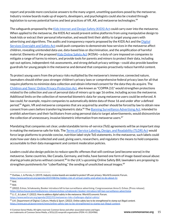report and provide more conclusive answers to the many urgent, unsettling questions posed by the metaverse. Industry review boards made up of experts, developers, and psychologists could also be created through legislation to survey potential harms and best practices of VR, AR, and metaverse technologies.<sup>84</sup>

The safeguards proposed by the Kids [Internet](https://www.commonsensemedia.org/sites/default/files/featured-content/files/kids_act_fact_sheet_2021_1.pdf) and Design Safety (KIDS) Act could carry over into the metaverse. When applied to the metaverse, the KIDS Act would prevent online platforms from using manipulative design to hook kids or extract their personal information, and would limit their ability to target young users with advertising and algorithms. The audits and transparency reports proposed by the KIDS Act and the [Digital](https://www.congress.gov/bill/117th-congress/house-bill/6796/text) Services [Oversight](https://www.congress.gov/bill/117th-congress/house-bill/6796/text) and Safety Act could push companies to demonstrate how services in the metaverse affect children, revealing unintended data use, data-based bias or discrimination, and the amplification of harmful material. Elements of the proposed Kids [Online](https://www.blumenthal.senate.gov/imo/media/doc/kids_online_safety_act_-_one_pager.pdf) Safety Act (KOSA)—a duty of care imposed on companies to mitigate a range of harms to minors, and provide tools for parents and minors to protect their data, including opt-out options, independent risk assessments, and strong default privacy settings—could also provide baseline guardrails for young people in the metaverse and demand that companies proactively reduce harmful content.

To protect young users from the privacy risks multiplied by the metaverse's immersive, connected nature, lawmakers should either pass stronger children's privacy laws or comprehensive federal privacy laws for all that require platforms to minimize data collection and obtain informed consent for the data they do acquire. The Children and Teens' Online Privacy [Protection](https://www.commonsensemedia.org/sites/default/files/featured-content/files/coppa_2.0_one_pager_2021.pdf) Act, also known as "COPPA 2.0," would strengthen protections related to the collection and use of personal data of minors up to age 16 online, including across the metaverse. Additional limits on the collection of nonverbal biometric data for young metaverse users could be enforced. A law could, for example, require companies to automatically delete data of those 16 and under after a defined period.<sup>85</sup> Again, VR and metaverse companies that are acquired by another should be forced by law to obtain new consent from users before transferring biometric data.<sup>86</sup> The <u>Banning [Surveillance](https://www.commonsensemedia.org/sites/default/files/featured-content/files/behavioral_-surveillance-advertising-brief.pdf) Advertising Act,</u> intended to prohibit advertisers and their facilitators from using personal data to target advertisements, would disincentivize the collection of unnecessary, invasive biometric information from metaverse users. $^{87}$ 

Mandating that companies set clear, understandable terms-of-service (ToS) agreements will be an important step in making the metaverse safe for kids. The Terms of Service Labeling, Design, and [Readability](https://trahan.house.gov/uploadedfiles/tldr_act_one-pager.pdf) (TLDR) Act would force large platforms to provide concise, nutrition label-style ToS statements. In the metaverse, such labels could state how user data is collected and used, giving users, researchers, and regulators the means to hold companies accountable to their data management and content moderation policies.

Leaders could also design policies to reduce specific offenses that will continue (and become worse) in the metaverse. Some countries, like Canada, Germany, and India, have banned one form of image-based sexual abuse: sharing private pictures without consent.<sup>88</sup> In the U.K.'s upcoming Online Safety Bill, lawmakers are proposing to strengthen punishments for "cyberflashing," the sending of unsolicited sexual images. $^{89}$ 

<sup>&</sup>lt;sup>85</sup> Ibid. <sup>84</sup> Outlaw, J., & Persky, S. (2019). *Industry review boards are needed to protect VR user privacy*. World Economic Forum. [https://www.weforum.org/agenda/2019/08/the-hidden-risk-of-virtual-reality-and-what-to-do-about-it/.](https://www.weforum.org/agenda/2019/08/the-hidden-risk-of-virtual-reality-and-what-to-do-about-it/)

<sup>&</sup>lt;sup>86</sup> Ibid.

<sup>88</sup> Li, C., & Lalani, F. (2022). *How to address digitalsafety in the metaverse*. World Economic Forum.  $^{87}$  (2022). Eshoo, Schakowsky, Booker introduce bill to ban surveillance advertising. Congresswoman Anna G. Eshoo. [Press release]. <https://eshoo.house.gov/media/press-releases/eshoo-schakowsky-booker-introduce-bill-ban-surveillance-advertising>.

<https://www.weforum.org/agenda/2022/01/metaverse-risks-challenges-digital-safety/>.

<sup>89</sup> U.K. Department of Digital, Culture, Media & Sport. (2022). *Online safety law to be strengthened to stamp out illegal content*. <https://www.gov.uk/government/news/online-safety-law-to-be-strengthened-to-stamp-out-illegal-content>.

<sup>©</sup> CommonSense Media. All rights reserved. CommonSense and other associated names and logos are trademarksof CommonSense Media, a 501(c)(3)nonprofitorganization(FEIN: 41-2024986). **www.commonsense.org** 15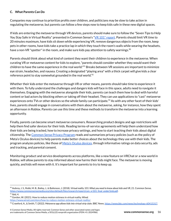#### **C. What Parents Can Do**

Companies may continue to prioritize profits over children, and politicians may be slow to take action in regulating the metaverse, but parents can follow a few steps now to keep kids safe in these new digital spaces.

If kids are entering the metaverse through VR devices, parents should make sure to follow the "Seven Tips to Help You Stay Safe in Virtual Reality" presented in Common Sense's "VR 101" [report.](https://www.commonsensemedia.org/sites/default/files/research/report/csm_vr101_final_under5mb.pdf) Parents should limit VR time to 20 minutes maximum, have kids sit down while experiencing VR, remove dangerous objects from the room, keep pets in other rooms, have kids take a practice lap in which they touch the room's walls while wearing the headsets, have a non-VR "spotter" in the room, and make sure kids pay attention to safety warnings. $^{\mathsf{90}}$ 

Parents should think about what kind of content they want their children to experience in the metaverse. When curating VR or metaverse content for kids to explore,"parents should consider whether they would want their children to have the same experience in the real world."<sup>91</sup> Breaks between VR sessions are important to minimize eye strain, headaches, and nausea. Creating a designated "playing area" with a thick carpet will give kids a clear reference point to stay somewhat grounded in the real world. $^{92}$ 

Whether their kids enter the metaverse through VR or other means, parents should take time to experience it with them. To fully understand the challenges and dangers kids will face in this space, adults need to navigate it themselves. Engaging with the metaverse alongside their kids, parents can teach them how to deal with harmful content or bad actors by blocking others or taking off their headset. They can use applications to "cast" metaverse experiences onto TVs or other devices so the whole family can participate.<sup>93</sup> As with any other facet of their kids' lives, parents should engage in conversations with them about the metaverse, asking, for instance, how they spent an afternoon in Roblox. Parents can use this time and these methods to transform the metaverse into a learning opportunity.

Finally, parents can become smart metaverse consumers. Researching product designs and age restrictions will help them find safer devices for their kids. Reading terms-of-service agreements will help them understand how their kids are being tracked, how to increase privacy settings, and how to start teaching their kids about digital citizenship. The [Common](https://privacy.commonsense.org/) Sense Privacy Program reads and summarizes privacy policies (such as the policy of Meta's Oculus devices) to help parents make better choices about the technology they use with their kids. The program analyzes policies, like those of <u>Meta's Oculus [devices](https://privacy.commonsense.org/evaluation/Oculus-for-Facebook)</u>, through informative ratings on data security, ads and tracking, and parental consent.

Monitoring product and service developments across platforms, like a new feature on VRChat or a new world in Roblox, will allow parents to stay informed about new harms their kids might face. The metaverse is moving quickly, and kids will move with it. It's important for parents to try to keep up.

<sup>92</sup> Gordon, W. (2021). How to reduce motion sickness in virtual reality. *Wired*.

 $91$  Ibid, 4.  $90$  Aubrey, J. S., Robb, M. B., Bailey, J., & Bailenson, J. (2018). Virtual reality 101: What you need to know about kids and VR, 21. Common Sense. [https://www.commonsensemedia.org/sites/default/files/research/report/csm\\_vr101\\_final\\_under5mb.pdf](https://www.commonsensemedia.org/sites/default/files/research/report/csm_vr101_final_under5mb.pdf).

[https://www.wired.com/story/how-to-reduce-motion-sickness-virtual-reality/.](https://www.wired.com/story/how-to-reduce-motion-sickness-virtual-reality/)

<sup>93</sup> Crawford, A., & Smith, T. (2022). *Metaverse app allows kidsinto virtualstrip clubs*. BBC News. [https://www.bbc.com/news/technology-60415317.](https://www.bbc.com/news/technology-60415317)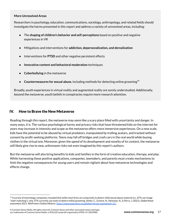#### **More Unresolved Areas**

Researchers in psychology, education, communications, sociology, anthropology, and related fields should investigate the harms presented in this report and address a variety of unresolved areas, including:

- The **shaping of children's behavior and self-perceptions** based on positive and negative experiences in VR
- Mitigations and interventions for **addiction, depersonalization, and derealization**
- Interventions for **PTSD** and other negative persistent effects
- **Innovative content and behavioral moderation** techniques
- **Cyberbullying** in the metaverse
- **Countermeasures for sexual abuse**, including methods for detecting online grooming 94

Broadly, youth experiences in virtual reality and augmented reality are sorely understudied. Additionally, beyond the metaverse, youth beliefs in conspiracies require more research attention.

# IV. How to Brave the New Metaverse

Reading through this report, the metaverse may seem like a scary place filled with uncertainty and danger. In many ways, it is. The various psychological harms and privacy risks that have threatened kids on the internet for years may increase in intensity and scope as the metaverse offers more immersive experiences. On a new scale, kids have the potential to be abused by virtual predators, manipulated by trolling avatars, and tracked without consent by profit-seeking platforms. Teens may fall off bridges and crash cars in the real world while buying clothes in the virtual one. Moreover, given the speed of its development and novelty of its content, the metaverse will likely give rise to new, unforeseen risks not even imagined by this report's authors.

But the metaverse will also bring benefits to kids and families in the form of creative education, therapy, and play. While harnessing these positive applications, companies, lawmakers, and parents must create mechanisms to limit the negative consequences for young users and remain vigilant about how metaverse technologies and effects change.

 $94$  A survey of technology companies revealed that while most firms are using tools to detect child sexual abuse material (i.e., 87% use image "hash-matching"), only 37% currently use tools to detect online grooming. Setter, C., Greene, N., Newman, N., & Perry, J. (2021). *Global threat assessment 2021*. WeProtect Global Alliance. <https://www.weprotect.org/global-threat-assessment-21/>.